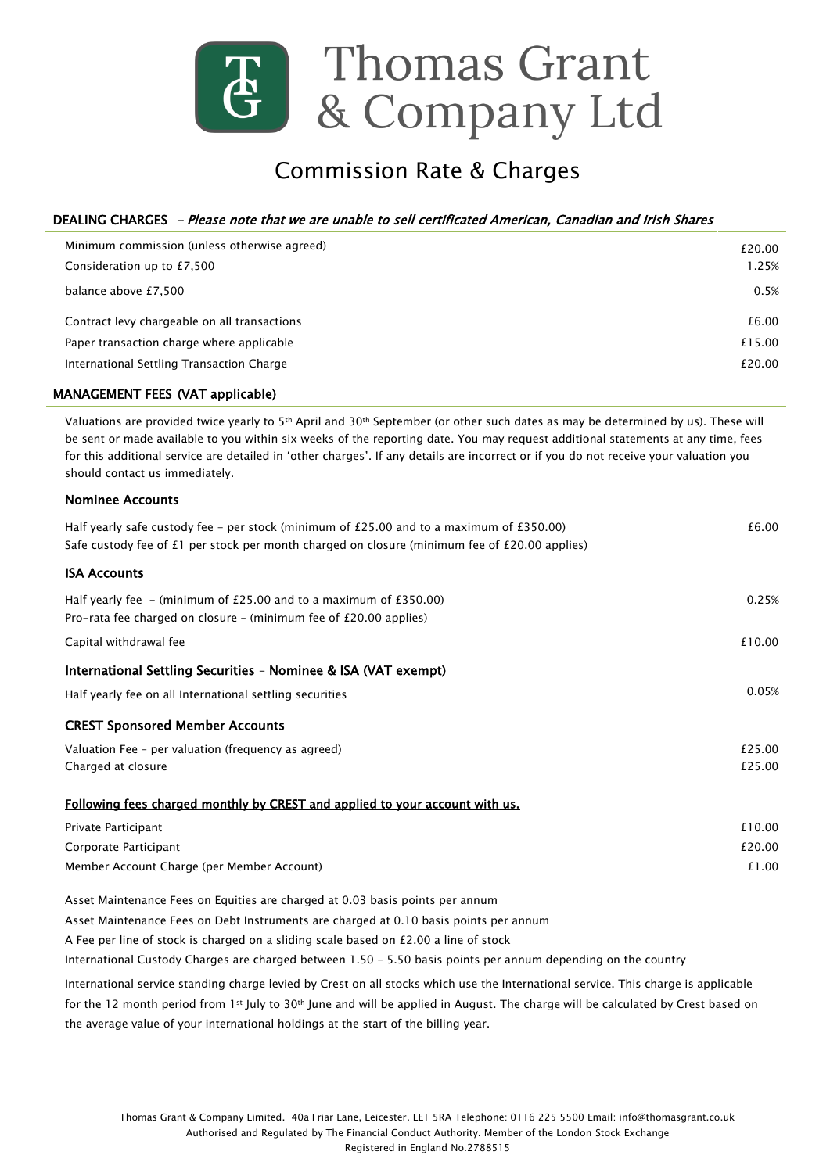

# Commission Rate & Charges

# DEALING CHARGES - Please note that we are unable to sell certificated American, Canadian and Irish Shares

| Minimum commission (unless otherwise agreed) | £20.00 |
|----------------------------------------------|--------|
| Consideration up to £7,500                   | 1.25%  |
| balance above £7,500                         | 0.5%   |
| Contract levy chargeable on all transactions | £6.00  |
| Paper transaction charge where applicable    | £15.00 |
| International Settling Transaction Charge    | £20.00 |

## MANAGEMENT FEES (VAT applicable)

Valuations are provided twice yearly to 5<sup>th</sup> April and 30<sup>th</sup> September (or other such dates as may be determined by us). These will be sent or made available to you within six weeks of the reporting date. You may request additional statements at any time, fees for this additional service are detailed in 'other charges'. If any details are incorrect or if you do not receive your valuation you should contact us immediately.

## Nominee Accounts

| Half yearly safe custody fee – per stock (minimum of $£25.00$ and to a maximum of $£350.00$ )<br>Safe custody fee of £1 per stock per month charged on closure (minimum fee of £20.00 applies) | £6.00  |
|------------------------------------------------------------------------------------------------------------------------------------------------------------------------------------------------|--------|
|                                                                                                                                                                                                |        |
| <b>ISA Accounts</b>                                                                                                                                                                            |        |
| Half yearly fee $-$ (minimum of £25.00 and to a maximum of £350.00)                                                                                                                            | 0.25%  |
| Pro-rata fee charged on closure - (minimum fee of $E20.00$ applies)                                                                                                                            |        |
| Capital withdrawal fee                                                                                                                                                                         | £10.00 |
| International Settling Securities - Nominee & ISA (VAT exempt)                                                                                                                                 |        |
| Half yearly fee on all International settling securities                                                                                                                                       | 0.05%  |
| <b>CREST Sponsored Member Accounts</b>                                                                                                                                                         |        |
| Valuation Fee - per valuation (frequency as agreed)                                                                                                                                            | £25.00 |
| Charged at closure                                                                                                                                                                             | £25.00 |
| Following fees charged monthly by CREST and applied to your account with us.                                                                                                                   |        |
| Private Participant                                                                                                                                                                            | £10.00 |
| Corporate Participant                                                                                                                                                                          | £20.00 |
| Member Account Charge (per Member Account)                                                                                                                                                     | £1.00  |
| Asset Maintenance Fees on Equities are charged at 0.03 basis points per annum                                                                                                                  |        |
| Asset Maintenance Fees on Debt Instruments are charged at 0.10 basis points per annum                                                                                                          |        |
| A Fee per line of stock is charged on a sliding scale based on $£2.00$ a line of stock                                                                                                         |        |
| International Custody Charges are charged between 1.50 - 5.50 basis points per annum depending on the country                                                                                  |        |

International service standing charge levied by Crest on all stocks which use the International service. This charge is applicable for the 12 month period from 1st July to 30th June and will be applied in August. The charge will be calculated by Crest based on the average value of your international holdings at the start of the billing year.